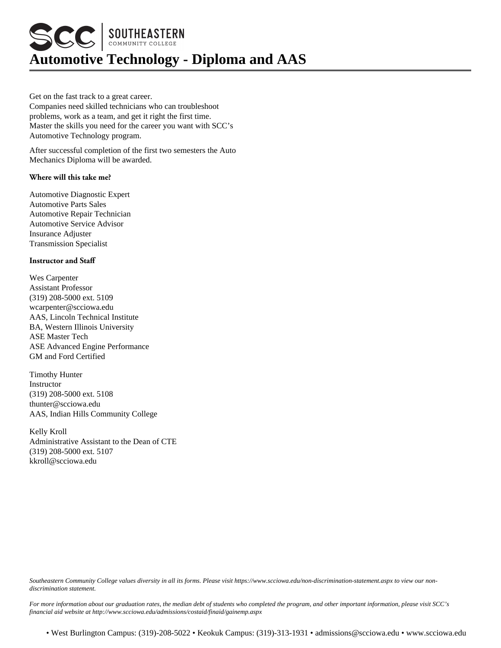**SCC SOUTHEASTERN Automotive Technology - Diploma and AAS**

Get on the fast track to a great career. Companies need skilled technicians who can troubleshoot problems, work as a team, and get it right the first time. Master the skills you need for the career you want with SCC's Automotive Technology program.

After successful completion of the first two semesters the Auto Mechanics Diploma will be awarded.

## **Where will this take me?**

Automotive Diagnostic Expert Automotive Parts Sales Automotive Repair Technician Automotive Service Advisor Insurance Adjuster Transmission Specialist

## **Instructor and Staff**

Wes Carpenter Assistant Professor (319) 208-5000 ext. 5109 wcarpenter@scciowa.edu AAS, Lincoln Technical Institute BA, Western Illinois University ASE Master Tech ASE Advanced Engine Performance GM and Ford Certified

Timothy Hunter Instructor (319) 208-5000 ext. 5108 thunter@scciowa.edu AAS, Indian Hills Community College

Kelly Kroll Administrative Assistant to the Dean of CTE (319) 208-5000 ext. 5107 kkroll@scciowa.edu

*Southeastern Community College values diversity in all its forms. Please visit https://www.scciowa.edu/non-discrimination-statement.aspx to view our nondiscrimination statement.*

*For more information about our graduation rates, the median debt of students who completed the program, and other important information, please visit SCC's financial aid website at http://www.scciowa.edu/admissions/costaid/finaid/gainemp.aspx*

• West Burlington Campus: (319)-208-5022 • Keokuk Campus: (319)-313-1931 • admissions@scciowa.edu • www.scciowa.edu